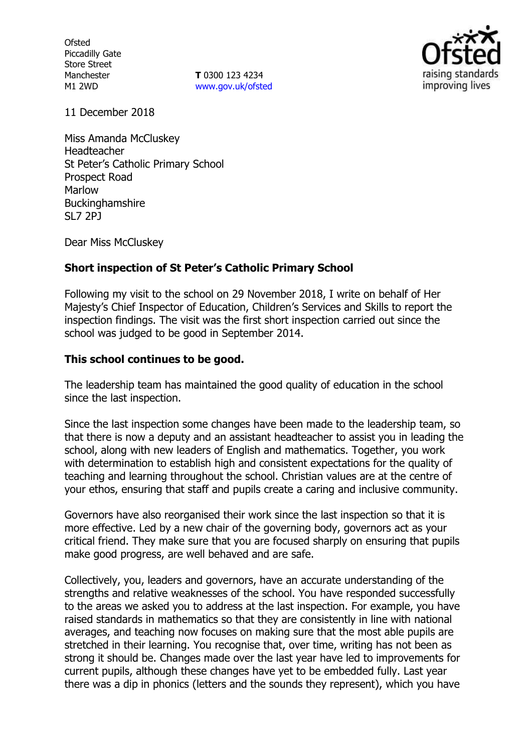**Ofsted** Piccadilly Gate Store Street Manchester M1 2WD

**T** 0300 123 4234 www.gov.uk/ofsted



11 December 2018

Miss Amanda McCluskey Headteacher St Peter's Catholic Primary School Prospect Road Marlow Buckinghamshire SL7 2PJ

Dear Miss McCluskey

## **Short inspection of St Peter's Catholic Primary School**

Following my visit to the school on 29 November 2018, I write on behalf of Her Majesty's Chief Inspector of Education, Children's Services and Skills to report the inspection findings. The visit was the first short inspection carried out since the school was judged to be good in September 2014.

### **This school continues to be good.**

The leadership team has maintained the good quality of education in the school since the last inspection.

Since the last inspection some changes have been made to the leadership team, so that there is now a deputy and an assistant headteacher to assist you in leading the school, along with new leaders of English and mathematics. Together, you work with determination to establish high and consistent expectations for the quality of teaching and learning throughout the school. Christian values are at the centre of your ethos, ensuring that staff and pupils create a caring and inclusive community.

Governors have also reorganised their work since the last inspection so that it is more effective. Led by a new chair of the governing body, governors act as your critical friend. They make sure that you are focused sharply on ensuring that pupils make good progress, are well behaved and are safe.

Collectively, you, leaders and governors, have an accurate understanding of the strengths and relative weaknesses of the school. You have responded successfully to the areas we asked you to address at the last inspection. For example, you have raised standards in mathematics so that they are consistently in line with national averages, and teaching now focuses on making sure that the most able pupils are stretched in their learning. You recognise that, over time, writing has not been as strong it should be. Changes made over the last year have led to improvements for current pupils, although these changes have yet to be embedded fully. Last year there was a dip in phonics (letters and the sounds they represent), which you have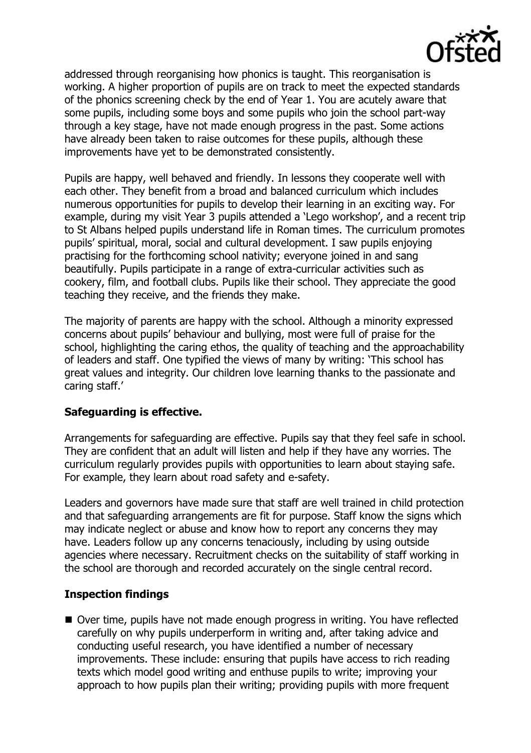

addressed through reorganising how phonics is taught. This reorganisation is working. A higher proportion of pupils are on track to meet the expected standards of the phonics screening check by the end of Year 1. You are acutely aware that some pupils, including some boys and some pupils who join the school part-way through a key stage, have not made enough progress in the past. Some actions have already been taken to raise outcomes for these pupils, although these improvements have yet to be demonstrated consistently.

Pupils are happy, well behaved and friendly. In lessons they cooperate well with each other. They benefit from a broad and balanced curriculum which includes numerous opportunities for pupils to develop their learning in an exciting way. For example, during my visit Year 3 pupils attended a 'Lego workshop', and a recent trip to St Albans helped pupils understand life in Roman times. The curriculum promotes pupils' spiritual, moral, social and cultural development. I saw pupils enjoying practising for the forthcoming school nativity; everyone joined in and sang beautifully. Pupils participate in a range of extra-curricular activities such as cookery, film, and football clubs. Pupils like their school. They appreciate the good teaching they receive, and the friends they make.

The majority of parents are happy with the school. Although a minority expressed concerns about pupils' behaviour and bullying, most were full of praise for the school, highlighting the caring ethos, the quality of teaching and the approachability of leaders and staff. One typified the views of many by writing: 'This school has great values and integrity. Our children love learning thanks to the passionate and caring staff.'

## **Safeguarding is effective.**

Arrangements for safeguarding are effective. Pupils say that they feel safe in school. They are confident that an adult will listen and help if they have any worries. The curriculum regularly provides pupils with opportunities to learn about staying safe. For example, they learn about road safety and e-safety.

Leaders and governors have made sure that staff are well trained in child protection and that safeguarding arrangements are fit for purpose. Staff know the signs which may indicate neglect or abuse and know how to report any concerns they may have. Leaders follow up any concerns tenaciously, including by using outside agencies where necessary. Recruitment checks on the suitability of staff working in the school are thorough and recorded accurately on the single central record.

## **Inspection findings**

■ Over time, pupils have not made enough progress in writing. You have reflected carefully on why pupils underperform in writing and, after taking advice and conducting useful research, you have identified a number of necessary improvements. These include: ensuring that pupils have access to rich reading texts which model good writing and enthuse pupils to write; improving your approach to how pupils plan their writing; providing pupils with more frequent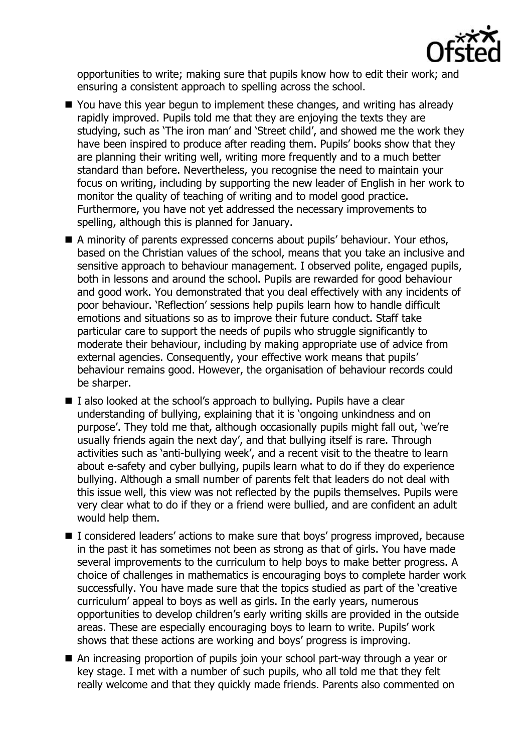

opportunities to write; making sure that pupils know how to edit their work; and ensuring a consistent approach to spelling across the school.

- You have this year begun to implement these changes, and writing has already rapidly improved. Pupils told me that they are enjoying the texts they are studying, such as 'The iron man' and 'Street child', and showed me the work they have been inspired to produce after reading them. Pupils' books show that they are planning their writing well, writing more frequently and to a much better standard than before. Nevertheless, you recognise the need to maintain your focus on writing, including by supporting the new leader of English in her work to monitor the quality of teaching of writing and to model good practice. Furthermore, you have not yet addressed the necessary improvements to spelling, although this is planned for January.
- A minority of parents expressed concerns about pupils' behaviour. Your ethos, based on the Christian values of the school, means that you take an inclusive and sensitive approach to behaviour management. I observed polite, engaged pupils, both in lessons and around the school. Pupils are rewarded for good behaviour and good work. You demonstrated that you deal effectively with any incidents of poor behaviour. 'Reflection' sessions help pupils learn how to handle difficult emotions and situations so as to improve their future conduct. Staff take particular care to support the needs of pupils who struggle significantly to moderate their behaviour, including by making appropriate use of advice from external agencies. Consequently, your effective work means that pupils' behaviour remains good. However, the organisation of behaviour records could be sharper.
- $\blacksquare$  I also looked at the school's approach to bullying. Pupils have a clear understanding of bullying, explaining that it is 'ongoing unkindness and on purpose'. They told me that, although occasionally pupils might fall out, 'we're usually friends again the next day', and that bullying itself is rare. Through activities such as 'anti-bullying week', and a recent visit to the theatre to learn about e-safety and cyber bullying, pupils learn what to do if they do experience bullying. Although a small number of parents felt that leaders do not deal with this issue well, this view was not reflected by the pupils themselves. Pupils were very clear what to do if they or a friend were bullied, and are confident an adult would help them.
- I considered leaders' actions to make sure that boys' progress improved, because in the past it has sometimes not been as strong as that of girls. You have made several improvements to the curriculum to help boys to make better progress. A choice of challenges in mathematics is encouraging boys to complete harder work successfully. You have made sure that the topics studied as part of the 'creative curriculum' appeal to boys as well as girls. In the early years, numerous opportunities to develop children's early writing skills are provided in the outside areas. These are especially encouraging boys to learn to write. Pupils' work shows that these actions are working and boys' progress is improving.
- An increasing proportion of pupils join your school part-way through a year or key stage. I met with a number of such pupils, who all told me that they felt really welcome and that they quickly made friends. Parents also commented on